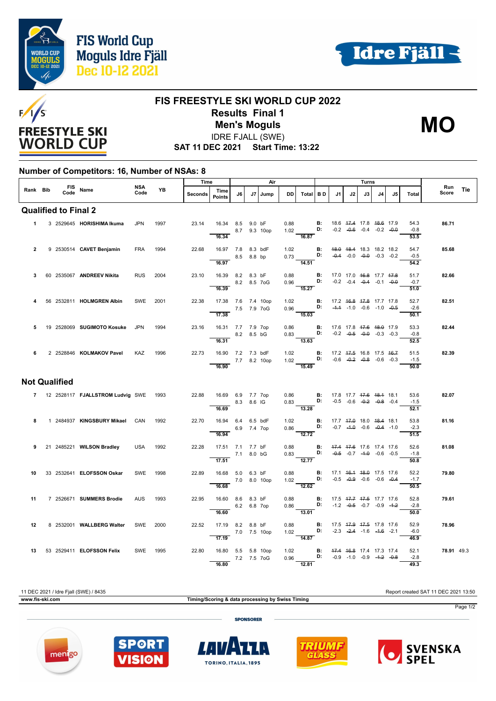





## **FIS FREESTYLE SKI WORLD CUP 2022 Results Final 1 Men's Moguls MO**

IDRE FJALL (SWE)

**SAT 11 DEC 2021 Start Time: 13:22**

## **Number of Competitors: 16, Number of NSAs: 8**

|                |             | FIS Name<br>Code Name       |                                         | NSA        |          | Time           |                                          | Air |             |              |           | Turns                                                                                                                           |                                                 |                                                |    |                                                                |    | Run                                            |                        |            |     |
|----------------|-------------|-----------------------------|-----------------------------------------|------------|----------|----------------|------------------------------------------|-----|-------------|--------------|-----------|---------------------------------------------------------------------------------------------------------------------------------|-------------------------------------------------|------------------------------------------------|----|----------------------------------------------------------------|----|------------------------------------------------|------------------------|------------|-----|
| Rank Bib       |             |                             |                                         | Code       | YB       | <b>Seconds</b> | Time<br><b>Points</b>                    | 16. |             | J7   Jump    | <b>DD</b> | Total BD                                                                                                                        |                                                 | J1                                             | J2 | J3                                                             | J4 | J5                                             | Total                  | Score      | Tie |
|                |             | <b>Qualified to Final 2</b> |                                         |            |          |                |                                          |     |             |              |           |                                                                                                                                 |                                                 |                                                |    |                                                                |    |                                                |                        |            |     |
|                | $\mathbf 1$ |                             | 3 2529645 HORISHIMA Ikuma               | <b>JPN</b> | 1997     | 23.14          | 16.34 8.5 9.0 bF                         |     |             | 8.7 9.3 10op | 0.88      | 1.02 <b>D:</b>                                                                                                                  | B:                                              |                                                |    | 18.6 47.4 17.8 48.6 17.9<br>$-0.2$ $-0.6$ $-0.4$ $-0.2$ $-0.0$ |    |                                                | 54.3<br>$-0.8$         | 86.71      |     |
|                |             |                             |                                         |            |          |                | 16.34                                    |     |             |              |           | 16.87                                                                                                                           |                                                 |                                                |    |                                                                |    |                                                | 53.5                   |            |     |
| $\overline{2}$ |             |                             | 9 2530514 CAVET Benjamin                | <b>FRA</b> | 1994     | 22.68          | 16.97 7.8 8.3 bdF<br>8.5 8.8 bp<br>16.97 |     |             |              |           | 1.02 <b>B:</b> 48.0 48.4 18.3 18.2 18.2<br>$0.73$ $\overline{D}$ : $0.00 - \overline{0.00} + 0.00 - 0.01 - 0.21 - 0.2$<br>14.51 |                                                 |                                                |    |                                                                |    |                                                | 54.7<br>$-0.5$<br>54.2 | 85.68      |     |
| 3              |             |                             | 60 2535067 ANDREEV Nikita               | <b>RUS</b> | 2004     | 23.10          | 16.39 8.2 8.3 bF                         |     |             |              | 0.88      |                                                                                                                                 | B:                                              | 17.0 17.0 <del>16.8</del> 17.7 <del>17.8</del> |    |                                                                |    |                                                | 51.7                   | 82.66      |     |
|                |             |                             |                                         |            |          |                | 16.39                                    |     |             | 8.2 8.5 7 oG |           | $0.96$ D:<br>$\frac{100}{15.27}$                                                                                                |                                                 |                                                |    | $-0.2$ $-0.4$ $-0.4$ $-0.1$ $-0.0$                             |    |                                                | $-0.7$<br>51.0         |            |     |
| 4              |             |                             | 56 2532811 HOLMGREN Albin               | SWE        | 2001     | 22.38          | 17.38 7.6 7.4 10op<br>$-$ 7.5 7.9 7 oG   |     |             |              |           | 1.02 <b>B:</b> 17.2 46.8 47.8 17.7 17.8<br>0.96 <b>D:</b> $-4.4$ -1.0 -0.6 -1.0 -0.5                                            |                                                 |                                                |    |                                                                |    |                                                | 52.7<br>$-2.6$         | 82.51      |     |
|                |             |                             |                                         |            |          |                | 17.38                                    |     |             |              |           | $\frac{1}{15.03}$                                                                                                               |                                                 |                                                |    |                                                                |    |                                                | 50.1                   |            |     |
| 5              |             |                             | 19 2528069 SUGIMOTO Kosuke              | <b>JPN</b> | 1994     | 23.16          | 16.31 7.7 7.9 7op                        |     | 8.2 8.5 bG  |              | 0.86      | $0.83$ $\qquad$ D:                                                                                                              | B:                                              | 17.6 17.8 <del>17.6</del> <del>18.0</del> 17.9 |    |                                                                |    | $-0.2$ $-0.5$ $-0.0$ $-0.3$ $-0.3$             | 53.3<br>$-0.8$         | 82.44      |     |
|                |             |                             |                                         |            |          |                | 16.31                                    |     |             |              |           | 13.63                                                                                                                           |                                                 |                                                |    |                                                                |    |                                                | 52.5                   |            |     |
| 6              |             |                             | 2 2528846 KOLMAKOV Pavel                | KAZ        | 1996     | 22.73          | 16.90 7.2 7.3 bdF<br>7.7 8.2 10op        |     |             |              | 1.02      | 1.02 <b>D:</b> $-0.6$ $-0.2$ $-0.8$ $-0.6$ $-0.3$                                                                               | <b>B:</b> 17.2 47.5 16.8 17.5 46.7              |                                                |    |                                                                |    |                                                | 51.5<br>$-1.5$         | 82.39      |     |
|                |             |                             |                                         |            |          |                | 16.90                                    |     |             |              |           | $\frac{1}{15.49}$                                                                                                               |                                                 |                                                |    |                                                                |    |                                                | 50.0                   |            |     |
|                |             | <b>Not Qualified</b>        |                                         |            |          |                |                                          |     |             |              |           |                                                                                                                                 |                                                 |                                                |    |                                                                |    |                                                |                        |            |     |
|                |             |                             | 7 12 2528117 FJALLSTROM Ludvig SWE 1993 |            |          | 22.88          | 16.69 6.9 7.7 7op<br>8.3 8.6 IG          |     |             |              |           | 0.86 <b>B</b> : 17.8 17.7 <del>17.6 18.1</del> 18.1<br>0.83 <b>D:</b> -0.5 -0.6 -0. <del>2</del> -0.8 -0.4                      |                                                 |                                                |    |                                                                |    |                                                | 53.6<br>$-1.5$         | 82.07      |     |
|                |             |                             |                                         |            |          |                | 16.69                                    |     |             |              |           | $-13.28$                                                                                                                        |                                                 |                                                |    |                                                                |    |                                                | 52.1                   |            |     |
| 8              |             |                             | 1 2484937 KINGSBURY Mikael              | CAN        | 1992     | 22.70          | 16.94 6.4 6.5 bdF                        |     | 6.9 7.4 7op |              | 1.02      | $0.86$ D:                                                                                                                       | <b>B:</b>                                       |                                                |    | $-0.7$ $-4.0$ $-0.6$ $-0.4$ $-1.0$                             |    | 17.7 <del>17.0</del> 18.0 <del>18.4</del> 18.1 | 53.8<br>$-2.3$         | 81.16      |     |
|                |             |                             |                                         |            | USA 1992 | 22.28          | 16.94<br>17.51 7.1 7.7 bF                |     |             |              |           | $\overline{12.72}$<br>0.88 <b>B:</b> $\frac{47.4}{17.6}$ 17.6 17.4 17.6                                                         |                                                 |                                                |    |                                                                |    |                                                | 51.5<br>52.6           | 81.08      |     |
| 9              |             |                             | 21 2485221 WILSON Bradley               |            |          |                | 7.1 8.0 bG                               |     |             |              |           | 0.83 <b>D:</b> $-0.5$ $-0.7$ $-1.0$ $-0.6$ $-0.5$                                                                               |                                                 |                                                |    |                                                                |    |                                                | $-1.8$                 |            |     |
| 10             |             |                             | 33 2532641 <b>ELOFSSON Oskar</b>        | SWE        | 1998     | 22.89          | $\overline{17.51}$<br>16.68 5.0 6.3 bF   |     |             |              | 0.88      | $\frac{1}{12.77}$                                                                                                               | $\blacksquare$                                  |                                                |    | 17.1 46.4 48.0 17.5 17.6                                       |    |                                                | 50.8<br>52.2           | 79.80      |     |
|                |             |                             |                                         |            |          |                | 7.0 8.0 10op<br>16.68                    |     |             |              |           | 1.02 D:<br>$\overline{12.62}$                                                                                                   |                                                 |                                                |    | $-0.5$ $-0.9$ $-0.6$ $-0.6$ $-0.4$                             |    |                                                | $-1.7$<br>50.5         |            |     |
| 11             |             |                             | 7 2526671 SUMMERS Brodie                | <b>AUS</b> | 1993     | 22.95          | 16.60 8.6 8.3 bF                         |     |             |              | 0.88      |                                                                                                                                 | <b>B</b> : 17.5 4 <del>7.7</del> 47.5 17.7 17.6 |                                                |    |                                                                |    |                                                | 52.8                   | 79.61      |     |
|                |             |                             |                                         |            |          |                | 16.60                                    |     | 6.2 6.8 7op |              |           | $0.86$ D: -1.2 -0.5 -0.7 -0.9 -1.2<br>$\frac{1}{13.01}$                                                                         |                                                 |                                                |    |                                                                |    |                                                | $-2.8$<br>50.0         |            |     |
| 12             |             |                             | 8 2532001 WALLBERG Walter               | SWE        | 2000     | 22.52          | 17.19 8.2 8.8 bF                         |     |             |              | 0.88      | 1.02 <b>D:</b> $-2.3$ $-2.4$ $-1.6$ $-1.6$ $-2.1$                                                                               | $\blacksquare$                                  | 17.5 47.9 47.5 17.8 17.6                       |    |                                                                |    |                                                | 52.9<br>$-6.0$         | 78.96      |     |
|                |             |                             |                                         |            |          |                | 17.19                                    |     |             | 7.0 7.5 10op |           | $\overline{14.87}$                                                                                                              |                                                 |                                                |    |                                                                |    |                                                | 46.9                   |            |     |
| 13             |             |                             | 53 2529411 ELOFSSON Felix               |            | SWE 1995 | 22.80          | 16.80 5.5 5.8 10op                       |     |             | 7.2 7.5 7oG  |           | 1.02 <b>B:</b> 47.4 46.8 17.4 17.3 17.4<br>0.96 <b>D:</b> $-0.9$ $-1.0$ $-0.9$ $-4.2$ $-0.8$                                    |                                                 |                                                |    |                                                                |    |                                                | 52.1<br>$-2.8$         | 78.91 49.3 |     |
|                |             |                             |                                         |            |          |                | 16.80                                    |     |             |              |           | 12.81                                                                                                                           |                                                 |                                                |    |                                                                |    |                                                | 49.3                   |            |     |





menigo